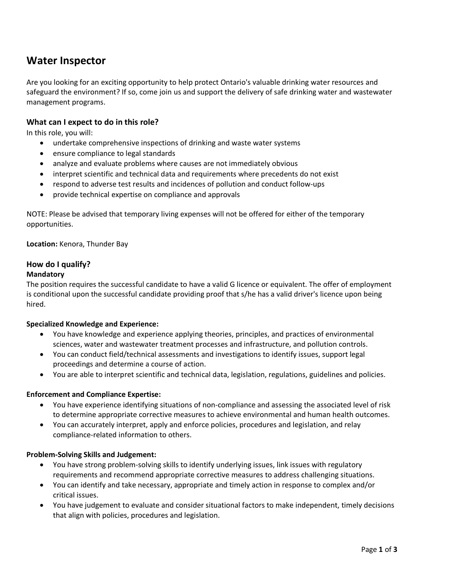# **Water Inspector**

Are you looking for an exciting opportunity to help protect Ontario's valuable drinking water resources and safeguard the environment? If so, come join us and support the delivery of safe drinking water and wastewater management programs.

# **What can I expect to do in this role?**

In this role, you will:

- undertake comprehensive inspections of drinking and waste water systems
- ensure compliance to legal standards
- analyze and evaluate problems where causes are not immediately obvious
- interpret scientific and technical data and requirements where precedents do not exist
- respond to adverse test results and incidences of pollution and conduct follow-ups
- provide technical expertise on compliance and approvals

NOTE: Please be advised that temporary living expenses will not be offered for either of the temporary opportunities.

## **Location:** Kenora, Thunder Bay

# **How do I qualify?**

## **Mandatory**

The position requires the successful candidate to have a valid G licence or equivalent. The offer of employment is conditional upon the successful candidate providing proof that s/he has a valid driver's licence upon being hired.

# **Specialized Knowledge and Experience:**

- You have knowledge and experience applying theories, principles, and practices of environmental sciences, water and wastewater treatment processes and infrastructure, and pollution controls.
- You can conduct field/technical assessments and investigations to identify issues, support legal proceedings and determine a course of action.
- You are able to interpret scientific and technical data, legislation, regulations, guidelines and policies.

#### **Enforcement and Compliance Expertise:**

- You have experience identifying situations of non-compliance and assessing the associated level of risk to determine appropriate corrective measures to achieve environmental and human health outcomes.
- You can accurately interpret, apply and enforce policies, procedures and legislation, and relay compliance-related information to others.

#### **Problem-Solving Skills and Judgement:**

- You have strong problem-solving skills to identify underlying issues, link issues with regulatory requirements and recommend appropriate corrective measures to address challenging situations.
- You can identify and take necessary, appropriate and timely action in response to complex and/or critical issues.
- You have judgement to evaluate and consider situational factors to make independent, timely decisions that align with policies, procedures and legislation.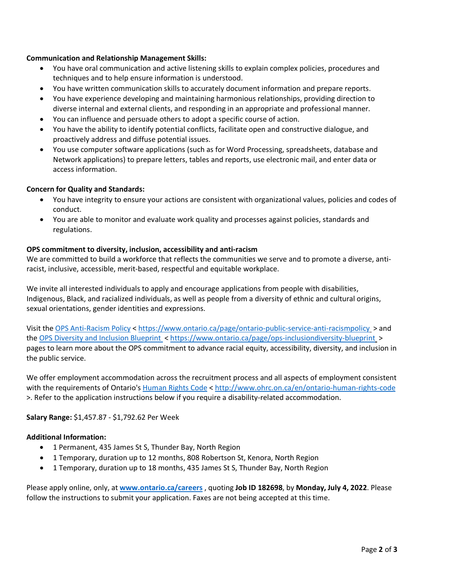## **Communication and Relationship Management Skills:**

- You have oral communication and active listening skills to explain complex policies, procedures and techniques and to help ensure information is understood.
- You have written communication skills to accurately document information and prepare reports.
- You have experience developing and maintaining harmonious relationships, providing direction to diverse internal and external clients, and responding in an appropriate and professional manner.
- You can influence and persuade others to adopt a specific course of action.
- You have the ability to identify potential conflicts, facilitate open and constructive dialogue, and proactively address and diffuse potential issues.
- You use computer software applications (such as for Word Processing, spreadsheets, database and Network applications) to prepare letters, tables and reports, use electronic mail, and enter data or access information.

# **Concern for Quality and Standards:**

- You have integrity to ensure your actions are consistent with organizational values, policies and codes of conduct.
- You are able to monitor and evaluate work quality and processes against policies, standards and regulations.

## **OPS commitment to diversity, inclusion, accessibility and anti-racism**

We are committed to build a workforce that reflects the communities we serve and to promote a diverse, antiracist, inclusive, accessible, merit-based, respectful and equitable workplace.

We invite all interested individuals to apply and encourage applications from people with disabilities, Indigenous, Black, and racialized individuals, as well as people from a diversity of ethnic and cultural origins, sexual orientations, gender identities and expressions.

Visit the [OPS Anti-Racism Policy](https://www.ontario.ca/page/ontario-public-service-anti-racism-policy) <<https://www.ontario.ca/page/ontario-public-service-anti-racismpolicy>> and the [OPS Diversity and Inclusion Blueprint](https://www.ontario.ca/page/ops-inclusion-diversity-blueprint) <<https://www.ontario.ca/page/ops-inclusiondiversity-blueprint>> pages to learn more about the OPS commitment to advance racial equity, accessibility, diversity, and inclusion in the public service.

We offer employment accommodation across the recruitment process and all aspects of employment consistent with the requirements of Ontario's [Human Rights Code](http://www.ohrc.on.ca/en/ontario-human-rights-code) <<http://www.ohrc.on.ca/en/ontario-human-rights-code> >. Refer to the application instructions below if you require a disability-related accommodation.

**Salary Range:** \$1,457.87 - \$1,792.62 Per Week

# **Additional Information:**

- 1 Permanent, 435 James St S, Thunder Bay, North Region
- 1 Temporary, duration up to 12 months, 808 Robertson St, Kenora, North Region
- 1 Temporary, duration up to 18 months, 435 James St S, Thunder Bay, North Region

Please apply online, only, at **[www.ontario.ca/careers](http://www.ontario.ca/careers)** , quoting **Job ID 182698**, by **Monday, July 4, 2022**. Please follow the instructions to submit your application. Faxes are not being accepted at this time.